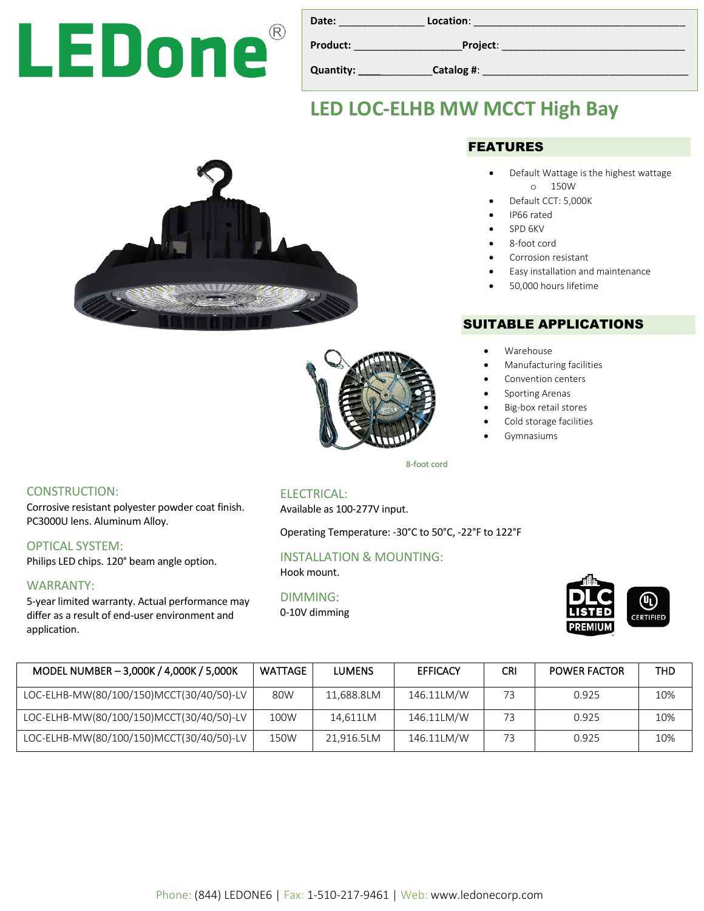# LEDone®

| Date:     | Location:  |
|-----------|------------|
| Product:  | Project:   |
| Quantity: | Catalog #: |

## **LED LOC-ELHB MW MCCT High Bay**





#### FEATURES

- Default Wattage is the highest wattage o 150W
- Default CCT: 5,000K
- IP66 rated
- SPD 6KV
- 8-foot cord
- Corrosion resistant
- Easy installation and maintenance
- 50,000 hours lifetime

#### SUITABLE APPLICATIONS

- Warehouse
- Manufacturing facilities
- Convention centers
- Sporting Arenas
- Big-box retail stores
- Cold storage facilities
- Gymnasiums

CONSTRUCTION:

Corrosive resistant polyester powder coat finish. PC3000U lens. Aluminum Alloy.

OPTICAL SYSTEM:

Philips LED chips. 120° beam angle option.

#### WARRANTY:

5-year limited warranty. Actual performance may differ as a result of end-user environment and application.

#### ELECTRICAL:

Available as 100-277V input.

Operating Temperature: -30°C to 50°C, -22°F to 122°F

#### INSTALLATION & MOUNTING:

Hook mount.

#### DIMMING:

0-10V dimming



| MODEL NUMBER - 3,000K / 4,000K / 5,000K  | WATTAGE | <b>LUMENS</b> | <b>EFFICACY</b> | <b>CRI</b> | <b>POWER FACTOR</b> | THD |
|------------------------------------------|---------|---------------|-----------------|------------|---------------------|-----|
| LOC-ELHB-MW(80/100/150)MCCT(30/40/50)-LV | 80W     | 11,688.8LM    | 146.11LM/W      | 73         | 0.925               | 10% |
| LOC-ELHB-MW(80/100/150)MCCT(30/40/50)-LV | 100W    | 14,611LM      | 146.11LM/W      | 73         | 0.925               | 10% |
| LOC-ELHB-MW(80/100/150)MCCT(30/40/50)-LV | 150W    | 21.916.5LM    | 146.11LM/W      | 73         | 0.925               | 10% |